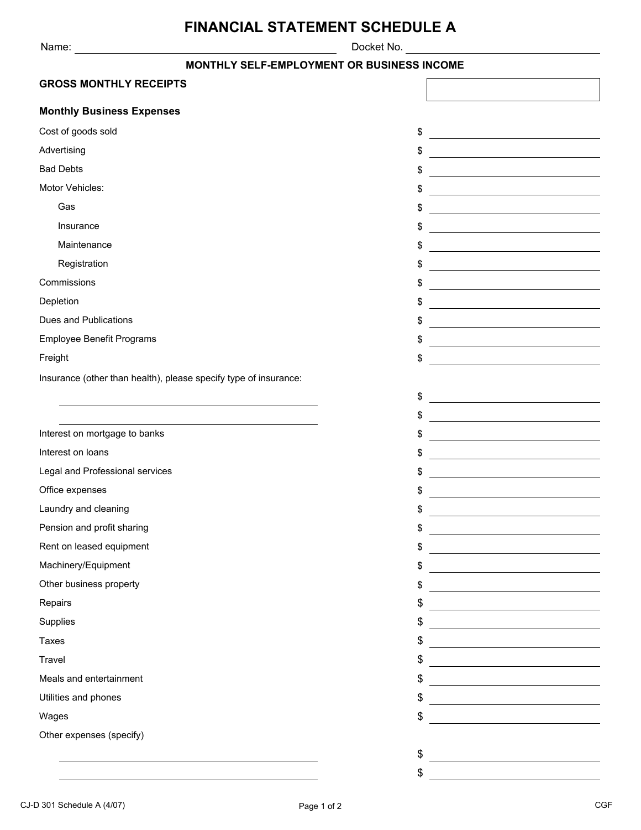Name: Docket No.

# **FINANCIAL STATEMENT SCHEDULE A**

| Docket No. |  |
|------------|--|
|------------|--|

### **MONTHLY SELF-EMPLOYMENT OR BUSINESS INCOME**

| <b>GROSS MONTHLY RECEIPTS</b>                                    |    |                                                                                                                       |  |
|------------------------------------------------------------------|----|-----------------------------------------------------------------------------------------------------------------------|--|
| <b>Monthly Business Expenses</b>                                 |    |                                                                                                                       |  |
| Cost of goods sold                                               | \$ |                                                                                                                       |  |
| Advertising                                                      | \$ |                                                                                                                       |  |
| <b>Bad Debts</b>                                                 | \$ |                                                                                                                       |  |
| Motor Vehicles:                                                  | \$ | and the state of the state of the state of the state of the                                                           |  |
| Gas                                                              | \$ | <u> 1980 - Johann Barn, mars ann an t-Amhain Aonaich an t-Aonaich an t-Aonaich ann an t-Aonaich ann an t-Aonaich</u>  |  |
| Insurance                                                        | \$ | <u> 1989 - Johann Stoff, deutscher Stoffen und der Stoffen und der Stoffen und der Stoffen und der Stoffen und d</u>  |  |
| Maintenance                                                      | \$ | <u> 1980 - Johann Barn, mars ann an t-Amhain Aonaich an t-Aonaich an t-Aonaich ann an t-Aonaich ann an t-Aonaich</u>  |  |
| Registration                                                     | \$ | <u> 1989 - Johann Stoff, deutscher Stoffen und der Stoffen und der Stoffen und der Stoffen und der Stoffen und d</u>  |  |
| Commissions                                                      | \$ |                                                                                                                       |  |
| Depletion                                                        | \$ | the control of the control of the control of the control of the control of the control of                             |  |
| Dues and Publications                                            | \$ |                                                                                                                       |  |
| Employee Benefit Programs                                        | \$ | <u> 1989 - Johann Stoff, deutscher Stoffen und der Stoffen und der Stoffen und der Stoffen und der Stoffen und de</u> |  |
| Freight                                                          | \$ |                                                                                                                       |  |
| Insurance (other than health), please specify type of insurance: |    |                                                                                                                       |  |
|                                                                  | \$ | <u> 1980 - Johann Barbara, martxa amerikan personal (</u>                                                             |  |
|                                                                  | \$ | <u> 1980 - Johann Barbara, martxa eta idazlea (h. 1980).</u>                                                          |  |
| Interest on mortgage to banks                                    | \$ |                                                                                                                       |  |
| Interest on loans                                                | \$ | the control of the control of the control of the control of the control of                                            |  |
| Legal and Professional services                                  | \$ |                                                                                                                       |  |
| Office expenses                                                  | \$ | the control of the control of the control of the control of the control of                                            |  |
| Laundry and cleaning                                             | \$ |                                                                                                                       |  |
| Pension and profit sharing                                       | \$ |                                                                                                                       |  |
| Rent on leased equipment                                         | \$ |                                                                                                                       |  |
| Machinery/Equipment                                              | \$ |                                                                                                                       |  |
| Other business property                                          | \$ |                                                                                                                       |  |
| Repairs                                                          | \$ |                                                                                                                       |  |
| Supplies                                                         | \$ |                                                                                                                       |  |
| <b>Taxes</b>                                                     | \$ |                                                                                                                       |  |
| Travel                                                           | \$ |                                                                                                                       |  |
| Meals and entertainment                                          | \$ |                                                                                                                       |  |
| Utilities and phones                                             | \$ |                                                                                                                       |  |
| Wages                                                            | \$ |                                                                                                                       |  |
| Other expenses (specify)                                         |    |                                                                                                                       |  |
|                                                                  | \$ |                                                                                                                       |  |
|                                                                  | \$ | <u> 1989 - Johann Harry Harry Harry Harry Harry Harry Harry Harry Harry Harry Harry Harry Harry Harry Harry Harry</u> |  |